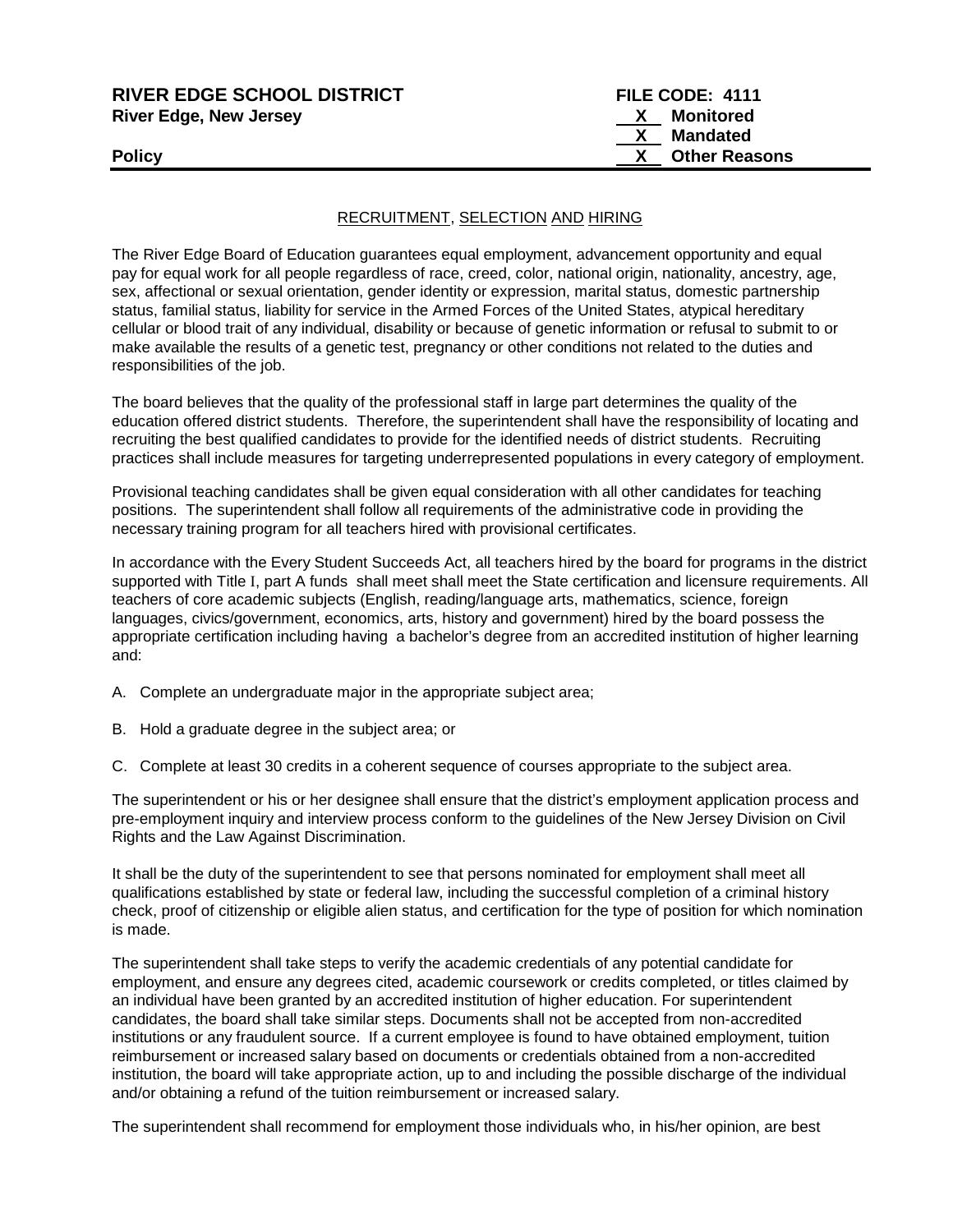| <b>RIVER EDGE SCHOOL DISTRICT</b> | FILE CODE: 4111 |                      |
|-----------------------------------|-----------------|----------------------|
| <b>River Edge, New Jersey</b>     |                 | Monitored            |
|                                   |                 | Mandated             |
| <b>Policy</b>                     |                 | <b>Other Reasons</b> |
|                                   |                 |                      |

## RECRUITMENT, SELECTION AND HIRING

The River Edge Board of Education guarantees equal employment, advancement opportunity and equal pay for equal work for all people regardless of race, creed, color, national origin, nationality, ancestry, age, sex, affectional or sexual orientation, gender identity or expression, marital status, domestic partnership status, familial status, liability for service in the Armed Forces of the United States, atypical hereditary cellular or blood trait of any individual, disability or because of genetic information or refusal to submit to or make available the results of a genetic test, pregnancy or other conditions not related to the duties and responsibilities of the job.

The board believes that the quality of the professional staff in large part determines the quality of the education offered district students. Therefore, the superintendent shall have the responsibility of locating and recruiting the best qualified candidates to provide for the identified needs of district students. Recruiting practices shall include measures for targeting underrepresented populations in every category of employment.

Provisional teaching candidates shall be given equal consideration with all other candidates for teaching positions. The superintendent shall follow all requirements of the administrative code in providing the necessary training program for all teachers hired with provisional certificates.

In accordance with the Every Student Succeeds Act, all teachers hired by the board for programs in the district supported with Title Ι, part A funds shall meet shall meet the State certification and licensure requirements. All teachers of core academic subjects (English, reading/language arts, mathematics, science, foreign languages, civics/government, economics, arts, history and government) hired by the board possess the appropriate certification including having a bachelor's degree from an accredited institution of higher learning and:

- A. Complete an undergraduate major in the appropriate subject area;
- B. Hold a graduate degree in the subject area; or
- C. Complete at least 30 credits in a coherent sequence of courses appropriate to the subject area.

The superintendent or his or her designee shall ensure that the district's employment application process and pre-employment inquiry and interview process conform to the guidelines of the New Jersey Division on Civil Rights and the Law Against Discrimination.

It shall be the duty of the superintendent to see that persons nominated for employment shall meet all qualifications established by state or federal law, including the successful completion of a criminal history check, proof of citizenship or eligible alien status, and certification for the type of position for which nomination is made.

The superintendent shall take steps to verify the academic credentials of any potential candidate for employment, and ensure any degrees cited, academic coursework or credits completed, or titles claimed by an individual have been granted by an accredited institution of higher education. For superintendent candidates, the board shall take similar steps. Documents shall not be accepted from non-accredited institutions or any fraudulent source. If a current employee is found to have obtained employment, tuition reimbursement or increased salary based on documents or credentials obtained from a non-accredited institution, the board will take appropriate action, up to and including the possible discharge of the individual and/or obtaining a refund of the tuition reimbursement or increased salary.

The superintendent shall recommend for employment those individuals who, in his/her opinion, are best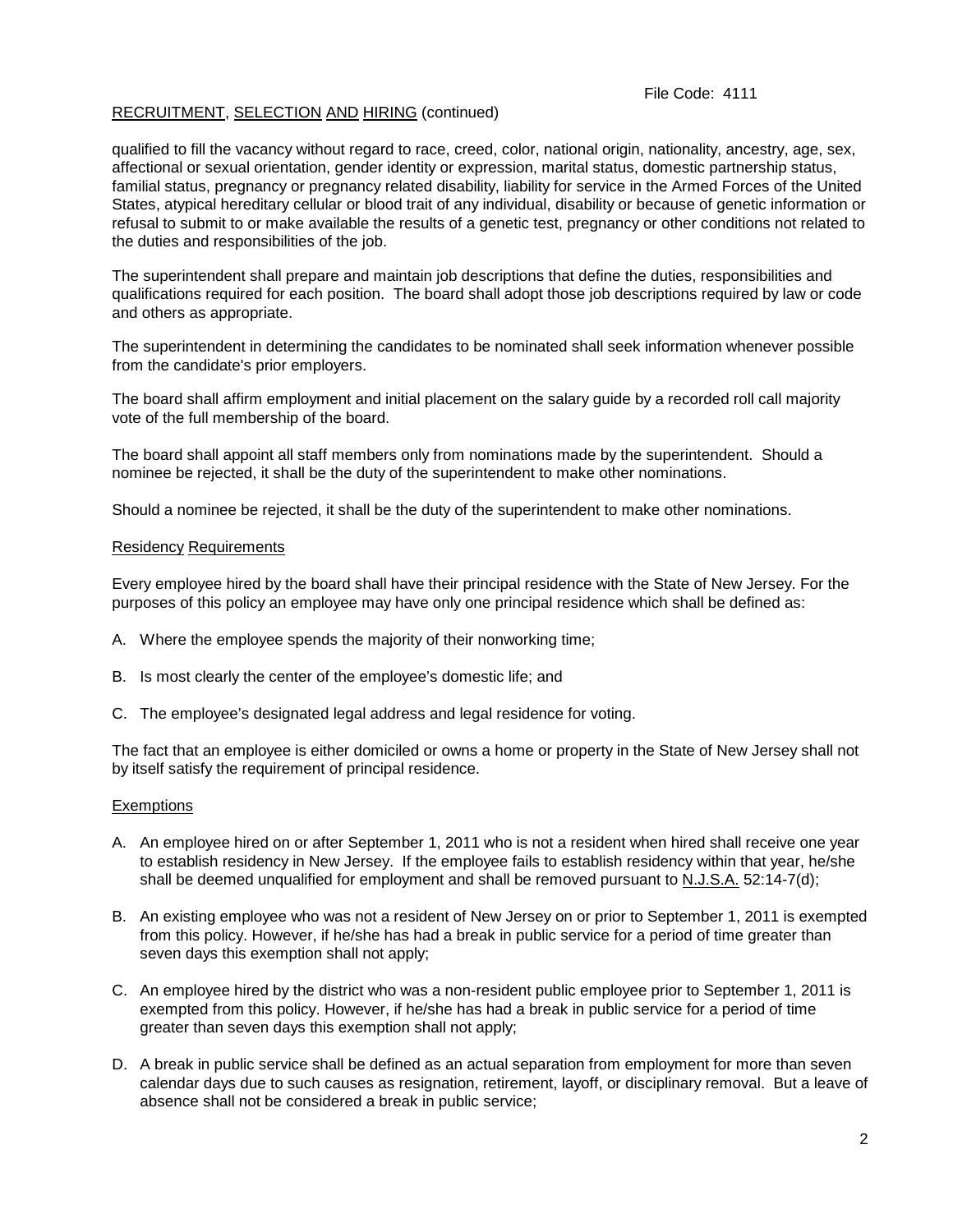## File Code: 4111

# RECRUITMENT, SELECTION AND HIRING (continued)

qualified to fill the vacancy without regard to race, creed, color, national origin, nationality, ancestry, age, sex, affectional or sexual orientation, gender identity or expression, marital status, domestic partnership status, familial status, pregnancy or pregnancy related disability, liability for service in the Armed Forces of the United States, atypical hereditary cellular or blood trait of any individual, disability or because of genetic information or refusal to submit to or make available the results of a genetic test, pregnancy or other conditions not related to the duties and responsibilities of the job.

The superintendent shall prepare and maintain job descriptions that define the duties, responsibilities and qualifications required for each position. The board shall adopt those job descriptions required by law or code and others as appropriate.

The superintendent in determining the candidates to be nominated shall seek information whenever possible from the candidate's prior employers.

The board shall affirm employment and initial placement on the salary guide by a recorded roll call majority vote of the full membership of the board.

The board shall appoint all staff members only from nominations made by the superintendent. Should a nominee be rejected, it shall be the duty of the superintendent to make other nominations.

Should a nominee be rejected, it shall be the duty of the superintendent to make other nominations.

#### Residency Requirements

Every employee hired by the board shall have their principal residence with the State of New Jersey. For the purposes of this policy an employee may have only one principal residence which shall be defined as:

- A. Where the employee spends the majority of their nonworking time;
- B. Is most clearly the center of the employee's domestic life; and
- C. The employee's designated legal address and legal residence for voting.

The fact that an employee is either domiciled or owns a home or property in the State of New Jersey shall not by itself satisfy the requirement of principal residence.

#### Exemptions

- A. An employee hired on or after September 1, 2011 who is not a resident when hired shall receive one year to establish residency in New Jersey. If the employee fails to establish residency within that year, he/she shall be deemed unqualified for employment and shall be removed pursuant to N.J.S.A. 52:14-7(d);
- B. An existing employee who was not a resident of New Jersey on or prior to September 1, 2011 is exempted from this policy. However, if he/she has had a break in public service for a period of time greater than seven days this exemption shall not apply;
- C. An employee hired by the district who was a non-resident public employee prior to September 1, 2011 is exempted from this policy. However, if he/she has had a break in public service for a period of time greater than seven days this exemption shall not apply;
- D. A break in public service shall be defined as an actual separation from employment for more than seven calendar days due to such causes as resignation, retirement, layoff, or disciplinary removal. But a leave of absence shall not be considered a break in public service;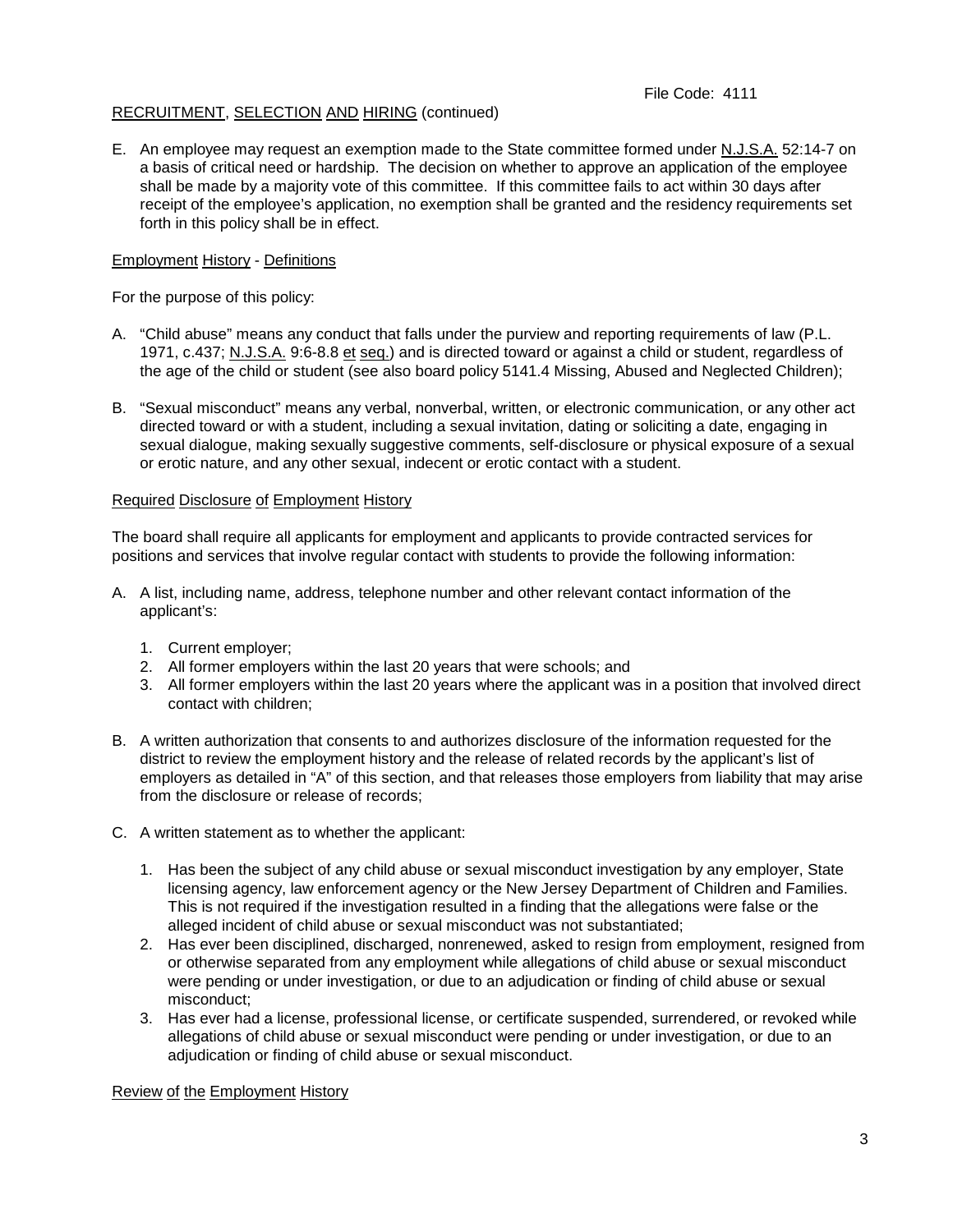# File Code: 4111

# RECRUITMENT, SELECTION AND HIRING (continued)

E. An employee may request an exemption made to the State committee formed under N.J.S.A. 52:14-7 on a basis of critical need or hardship. The decision on whether to approve an application of the employee shall be made by a majority vote of this committee. If this committee fails to act within 30 days after receipt of the employee's application, no exemption shall be granted and the residency requirements set forth in this policy shall be in effect.

## Employment History - Definitions

For the purpose of this policy:

- A. "Child abuse" means any conduct that falls under the purview and reporting requirements of law (P.L. 1971, c.437; N.J.S.A. 9:6-8.8 et seq.) and is directed toward or against a child or student, regardless of the age of the child or student (see also board policy 5141.4 Missing, Abused and Neglected Children);
- B. "Sexual misconduct" means any verbal, nonverbal, written, or electronic communication, or any other act directed toward or with a student, including a sexual invitation, dating or soliciting a date, engaging in sexual dialogue, making sexually suggestive comments, self-disclosure or physical exposure of a sexual or erotic nature, and any other sexual, indecent or erotic contact with a student.

#### Required Disclosure of Employment History

The board shall require all applicants for employment and applicants to provide contracted services for positions and services that involve regular contact with students to provide the following information:

- A. A list, including name, address, telephone number and other relevant contact information of the applicant's:
	- 1. Current employer;
	- 2. All former employers within the last 20 years that were schools; and
	- 3. All former employers within the last 20 years where the applicant was in a position that involved direct contact with children;
- B. A written authorization that consents to and authorizes disclosure of the information requested for the district to review the employment history and the release of related records by the applicant's list of employers as detailed in "A" of this section, and that releases those employers from liability that may arise from the disclosure or release of records;
- C. A written statement as to whether the applicant:
	- 1. Has been the subject of any child abuse or sexual misconduct investigation by any employer, State licensing agency, law enforcement agency or the New Jersey Department of Children and Families. This is not required if the investigation resulted in a finding that the allegations were false or the alleged incident of child abuse or sexual misconduct was not substantiated;
	- 2. Has ever been disciplined, discharged, nonrenewed, asked to resign from employment, resigned from or otherwise separated from any employment while allegations of child abuse or sexual misconduct were pending or under investigation, or due to an adjudication or finding of child abuse or sexual misconduct;
	- 3. Has ever had a license, professional license, or certificate suspended, surrendered, or revoked while allegations of child abuse or sexual misconduct were pending or under investigation, or due to an adjudication or finding of child abuse or sexual misconduct.

#### Review of the Employment History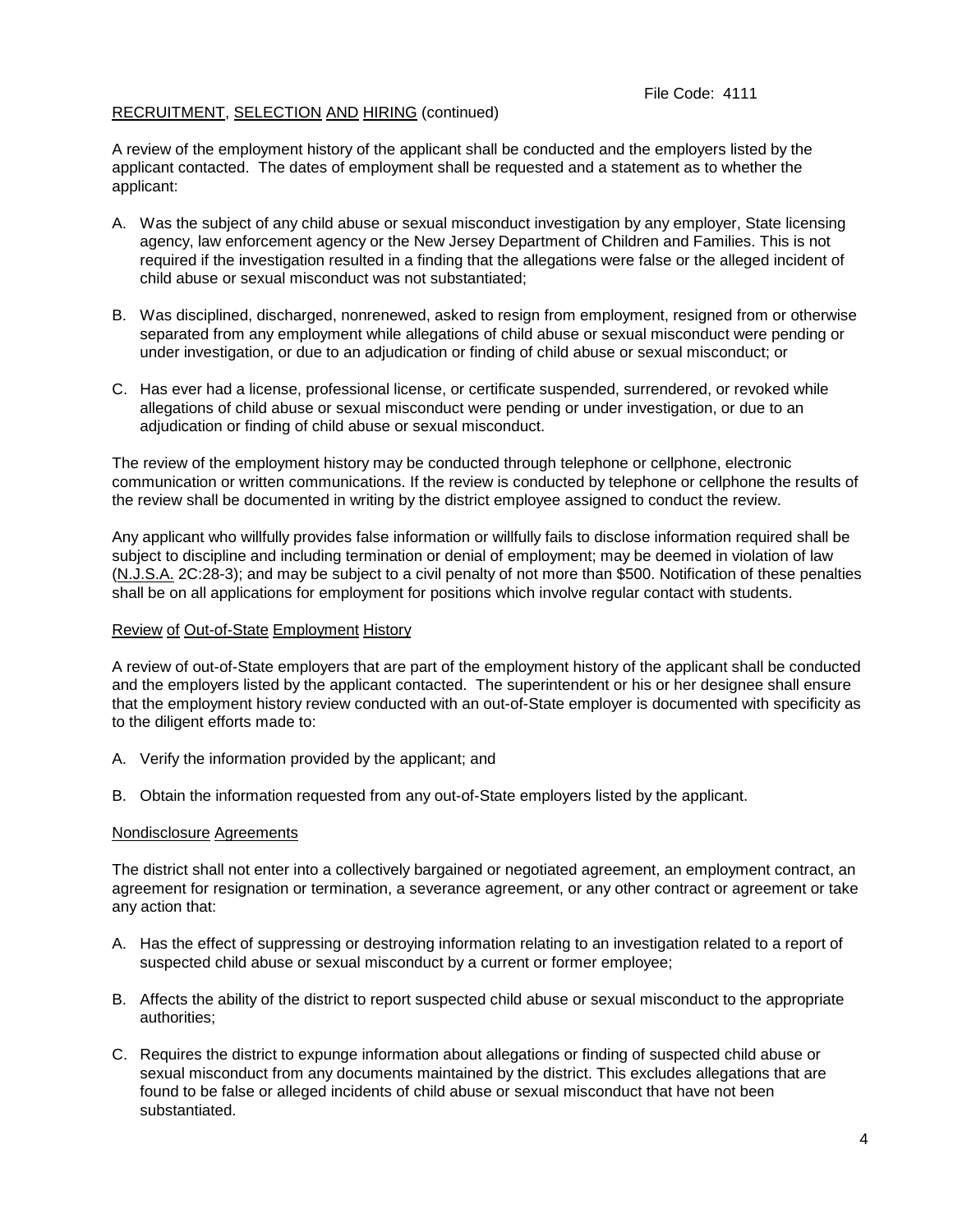A review of the employment history of the applicant shall be conducted and the employers listed by the applicant contacted. The dates of employment shall be requested and a statement as to whether the applicant:

- A. Was the subject of any child abuse or sexual misconduct investigation by any employer, State licensing agency, law enforcement agency or the New Jersey Department of Children and Families. This is not required if the investigation resulted in a finding that the allegations were false or the alleged incident of child abuse or sexual misconduct was not substantiated;
- B. Was disciplined, discharged, nonrenewed, asked to resign from employment, resigned from or otherwise separated from any employment while allegations of child abuse or sexual misconduct were pending or under investigation, or due to an adjudication or finding of child abuse or sexual misconduct; or
- C. Has ever had a license, professional license, or certificate suspended, surrendered, or revoked while allegations of child abuse or sexual misconduct were pending or under investigation, or due to an adjudication or finding of child abuse or sexual misconduct.

The review of the employment history may be conducted through telephone or cellphone, electronic communication or written communications. If the review is conducted by telephone or cellphone the results of the review shall be documented in writing by the district employee assigned to conduct the review.

Any applicant who willfully provides false information or willfully fails to disclose information required shall be subject to discipline and including termination or denial of employment; may be deemed in violation of law (N.J.S.A. 2C:28-3); and may be subject to a civil penalty of not more than \$500. Notification of these penalties shall be on all applications for employment for positions which involve regular contact with students.

#### Review of Out-of-State Employment History

A review of out-of-State employers that are part of the employment history of the applicant shall be conducted and the employers listed by the applicant contacted. The superintendent or his or her designee shall ensure that the employment history review conducted with an out-of-State employer is documented with specificity as to the diligent efforts made to:

- A. Verify the information provided by the applicant; and
- B. Obtain the information requested from any out-of-State employers listed by the applicant.

#### Nondisclosure Agreements

The district shall not enter into a collectively bargained or negotiated agreement, an employment contract, an agreement for resignation or termination, a severance agreement, or any other contract or agreement or take any action that:

- A. Has the effect of suppressing or destroying information relating to an investigation related to a report of suspected child abuse or sexual misconduct by a current or former employee;
- B. Affects the ability of the district to report suspected child abuse or sexual misconduct to the appropriate authorities;
- C. Requires the district to expunge information about allegations or finding of suspected child abuse or sexual misconduct from any documents maintained by the district. This excludes allegations that are found to be false or alleged incidents of child abuse or sexual misconduct that have not been substantiated.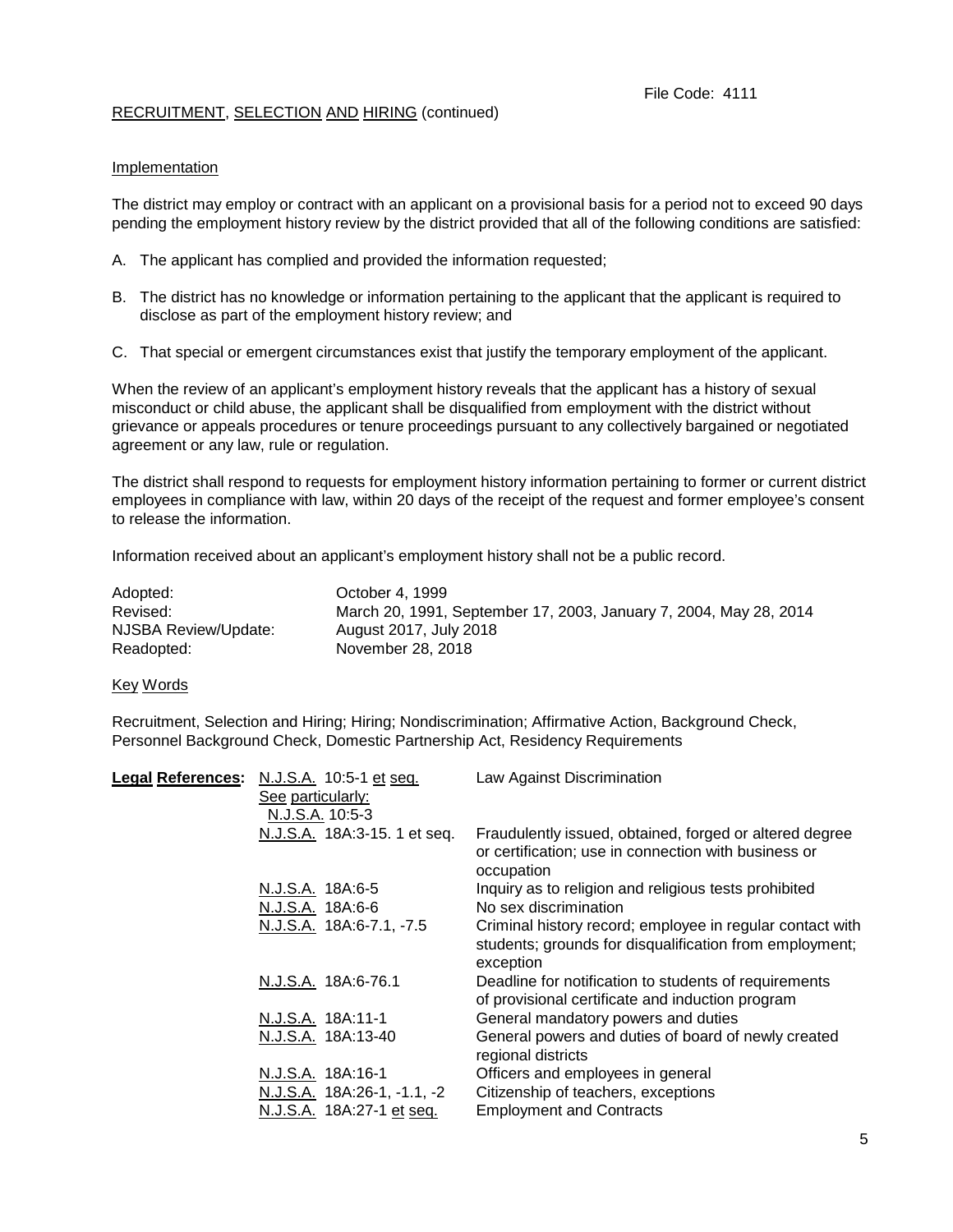# Implementation

The district may employ or contract with an applicant on a provisional basis for a period not to exceed 90 days pending the employment history review by the district provided that all of the following conditions are satisfied:

- A. The applicant has complied and provided the information requested;
- B. The district has no knowledge or information pertaining to the applicant that the applicant is required to disclose as part of the employment history review; and
- C. That special or emergent circumstances exist that justify the temporary employment of the applicant.

When the review of an applicant's employment history reveals that the applicant has a history of sexual misconduct or child abuse, the applicant shall be disqualified from employment with the district without grievance or appeals procedures or tenure proceedings pursuant to any collectively bargained or negotiated agreement or any law, rule or regulation.

The district shall respond to requests for employment history information pertaining to former or current district employees in compliance with law, within 20 days of the receipt of the request and former employee's consent to release the information.

Information received about an applicant's employment history shall not be a public record.

| Adopted:             | October 4, 1999                                                   |
|----------------------|-------------------------------------------------------------------|
| Revised:             | March 20, 1991, September 17, 2003, January 7, 2004, May 28, 2014 |
| NJSBA Review/Update: | August 2017, July 2018                                            |
| Readopted:           | November 28, 2018                                                 |

Key Words

Recruitment, Selection and Hiring; Hiring; Nondiscrimination; Affirmative Action, Background Check, Personnel Background Check, Domestic Partnership Act, Residency Requirements

| Legal References: N.J.S.A. 10:5-1 et seq. | Law Against Discrimination                                                                                                        |
|-------------------------------------------|-----------------------------------------------------------------------------------------------------------------------------------|
| See particularly:                         |                                                                                                                                   |
| N.J.S.A. 10:5-3                           |                                                                                                                                   |
| N.J.S.A. 18A:3-15. 1 et seq.              | Fraudulently issued, obtained, forged or altered degree<br>or certification; use in connection with business or<br>occupation     |
| N.J.S.A. 18A:6-5                          | Inquiry as to religion and religious tests prohibited                                                                             |
| N.J.S.A. 18A:6-6                          | No sex discrimination                                                                                                             |
| N.J.S.A. 18A:6-7.1, -7.5                  | Criminal history record; employee in regular contact with<br>students; grounds for disqualification from employment;<br>exception |
| N.J.S.A. 18A:6-76.1                       | Deadline for notification to students of requirements<br>of provisional certificate and induction program                         |
| N.J.S.A. 18A:11-1                         | General mandatory powers and duties                                                                                               |
| N.J.S.A. 18A:13-40                        | General powers and duties of board of newly created<br>regional districts                                                         |
| N.J.S.A. 18A:16-1                         | Officers and employees in general                                                                                                 |
| N.J.S.A. 18A:26-1, -1.1, -2               | Citizenship of teachers, exceptions                                                                                               |
| N.J.S.A. 18A:27-1 et seq.                 | <b>Employment and Contracts</b>                                                                                                   |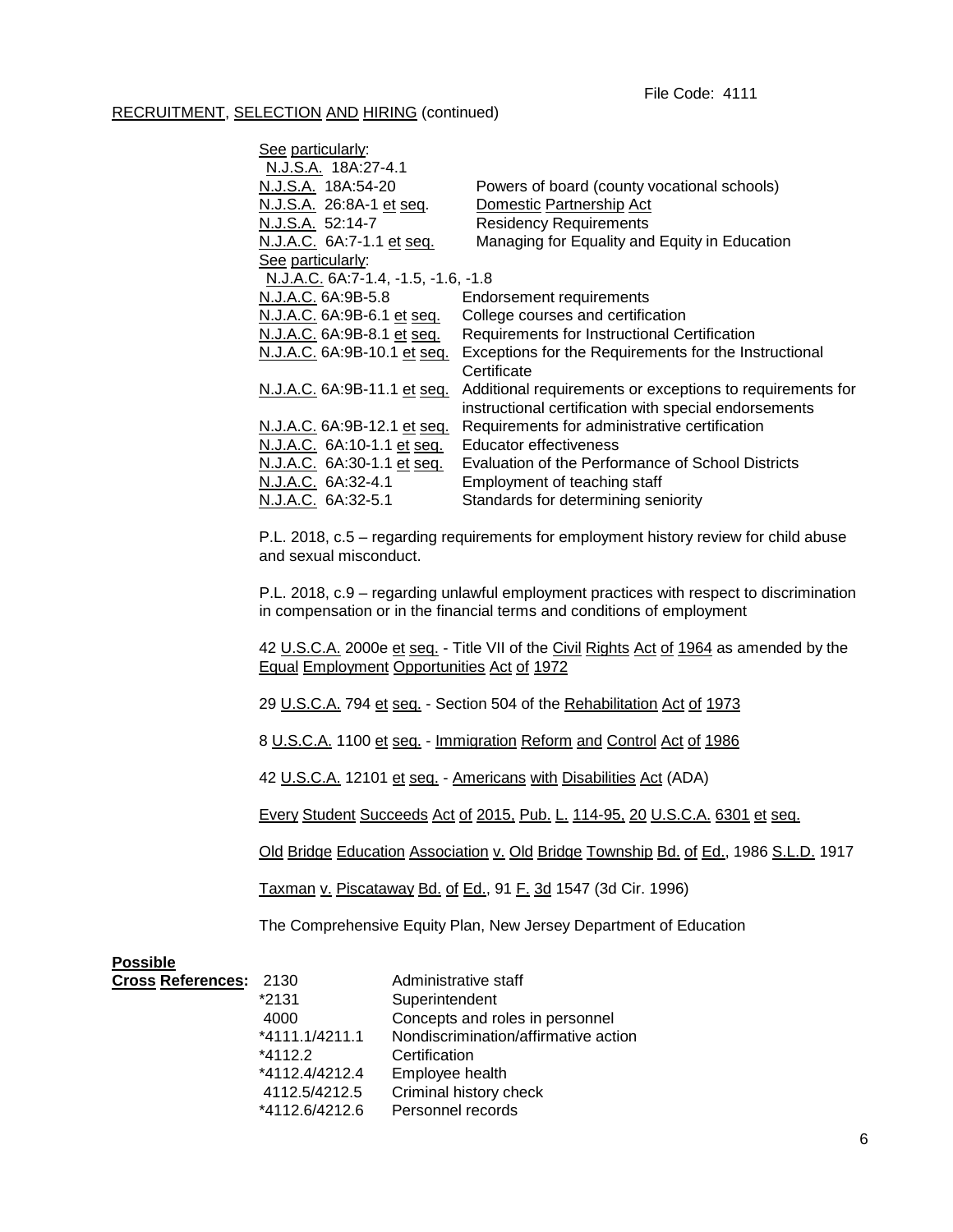| See particularly:                   |                                                           |
|-------------------------------------|-----------------------------------------------------------|
| N.J.S.A. 18A:27-4.1                 |                                                           |
| N.J.S.A. 18A:54-20                  | Powers of board (county vocational schools)               |
| N.J.S.A. 26:8A-1 et seq.            | Domestic Partnership Act                                  |
| N.J.S.A. 52:14-7                    | <b>Residency Requirements</b>                             |
| N.J.A.C. 6A:7-1.1 et seq.           | Managing for Equality and Equity in Education             |
| See particularly:                   |                                                           |
| N.J.A.C. 6A:7-1.4, -1.5, -1.6, -1.8 |                                                           |
| N.J.A.C. 6A:9B-5.8                  | <b>Endorsement requirements</b>                           |
| N.J.A.C. 6A:9B-6.1 et seq.          | College courses and certification                         |
| N.J.A.C. 6A:9B-8.1 et seq.          | Requirements for Instructional Certification              |
| N.J.A.C. 6A:9B-10.1 et seq.         | Exceptions for the Requirements for the Instructional     |
|                                     | Certificate                                               |
| N.J.A.C. 6A:9B-11.1 et seq.         | Additional requirements or exceptions to requirements for |
|                                     | instructional certification with special endorsements     |
| N.J.A.C. 6A:9B-12.1 et seq.         | Requirements for administrative certification             |
| N.J.A.C. 6A:10-1.1 et seq.          | Educator effectiveness                                    |
| N.J.A.C. 6A:30-1.1 et seq.          | Evaluation of the Performance of School Districts         |
| N.J.A.C. 6A:32-4.1                  | Employment of teaching staff                              |
| N.J.A.C. 6A:32-5.1                  | Standards for determining seniority                       |
|                                     |                                                           |

P.L. 2018, c.5 – regarding requirements for employment history review for child abuse and sexual misconduct.

P.L. 2018, c.9 – regarding unlawful employment practices with respect to discrimination in compensation or in the financial terms and conditions of employment

42 U.S.C.A. 2000e et seq. - Title VII of the Civil Rights Act of 1964 as amended by the Equal Employment Opportunities Act of 1972

29 U.S.C.A. 794 et seq. - Section 504 of the Rehabilitation Act of 1973

8 U.S.C.A. 1100 et seq. - Immigration Reform and Control Act of 1986

42 U.S.C.A. 12101 et seq. - Americans with Disabilities Act (ADA)

Every Student Succeeds Act of 2015, Pub. L. 114-95, 20 U.S.C.A. 6301 et seq.

Old Bridge Education Association v. Old Bridge Township Bd. of Ed., 1986 S.L.D. 1917

Taxman v. Piscataway Bd. of Ed., 91 F. 3d 1547 (3d Cir. 1996)

The Comprehensive Equity Plan, New Jersey Department of Education

| <b>Possible</b>        |                |                                   |
|------------------------|----------------|-----------------------------------|
| Cross References: 2130 |                | Administrative staff              |
|                        | *2131          | Superintendent                    |
|                        | 4000           | Concepts and roles in personnel   |
|                        | *4111.1/4211.1 | Nondiscrimination/affirmative act |
|                        |                |                                   |

discrimination/affirmative action \*4112.2 Certification

- \*4112.4/4212.4 Employee health 4112.5/4212.5 Criminal history check
- \*4112.6/4212.6 Personnel records